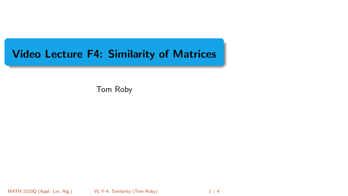# <span id="page-0-0"></span>Video Lecture F4: Similarity of Matrices

Tom Roby

MATH 2210Q (Appl. Lin. Alg.) [VL F-4: Similarity](#page-3-0) (Tom Roby) 1 / 4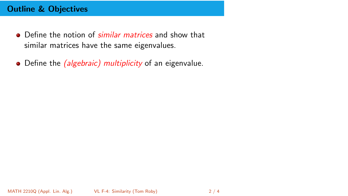## Outline & Objectives

- Define the notion of *similar matrices* and show that similar matrices have the same eigenvalues.
- Define the *(algebraic) multiplicity* of an eigenvalue.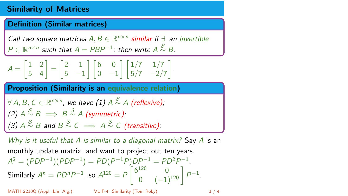### Similarity of Matrices

#### Definition (Similar matrices)

Call two square matrices  $A, B \in \mathbb{R}^{n \times n}$  similar if  $\exists$  an invertible  $P \in \mathbb{R}^{n \times n}$  such that  $A = PBP^{-1}$ ; then write  $A \stackrel{S}{\sim} B$ .

$$
A = \begin{bmatrix} 1 & 2 \\ 5 & 4 \end{bmatrix} = \begin{bmatrix} 2 & 1 \\ 5 & -1 \end{bmatrix} \begin{bmatrix} 6 & 0 \\ 0 & -1 \end{bmatrix} \begin{bmatrix} 1/7 & 1/7 \\ 5/7 & -2/7 \end{bmatrix}.
$$

Proposition (Similarity is an equivalence relation)

$$
\forall A, B, C \in \mathbb{R}^{n \times n}, \text{ we have (1) } A \stackrel{S}{\sim} A \text{ (reflexive)};
$$
  
(2)  $A \stackrel{S}{\sim} B \implies B \stackrel{S}{\sim} A \text{ (symmetric)};$   
(3)  $A \stackrel{S}{\sim} B$  and  $B \stackrel{S}{\sim} C \implies A \stackrel{S}{\sim} C \text{ (transitive)};$ 

Why is it useful that A is similar to a diagonal matrix? Say A is an monthly update matrix, and want to project out ten years.  $A^2 = (PDP^{-1})(PDP^{-1}) = PD(P^{-1}P)DP^{-1} = PD^2P^{-1}.$ Similarly  $A^n = P D^n P^{-1}$ , so  $A^{120} = P \begin{bmatrix} 6^{120} & 0 \ 0 & (-1)^{120} \end{bmatrix} P^{-1}$ .

MATH 2210Q (Appl. Lin. Alg.) [VL F-4: Similarity](#page-0-0) (Tom Roby) 3 / 4